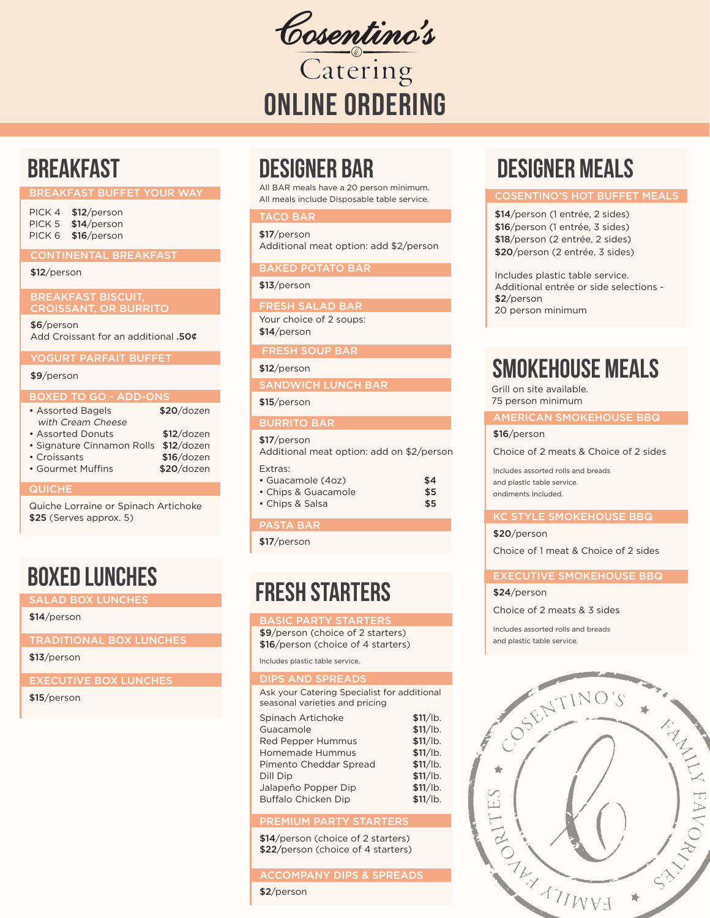Cosentino's

ONLINE ORDERING

# **BREAKFAST**

#### BREAKFAST BUFFET YOUR WAY

| PICK 4 | \$12/person |
|--------|-------------|
| PICK 5 | \$14/person |
| PICK 6 | \$16/person |

CONTINENTAL BREAKFAST

#### \$12/person

BREAKFAST BISCUIT, CROISSANT, OR BURRITO

\$6/person Add Croissant for an additional .50¢

YOGURT PARFAIT BUFFET

# \$9/person

#### BOXED TO GO - ADD-ONS

| • Assorted Bagels          | \$20/dozen   |
|----------------------------|--------------|
| with Cream Cheese          |              |
| • Assorted Donuts          | $$12$ /dozen |
| • Signature Cinnamon Rolls | $$12$ /dozen |
| • Croissants               | \$16/dozen   |
| • Gourmet Muffins          | \$20/dozen   |

#### **QUICHE**

Quiche Lorraine or Spinach Artichoke \$25 (Serves approx. 5)

# BOXED LUNCHES

SALAD BOX LUNCHES

#### \$14/person

TRADITIONAL BOX LUNCHES

# \$13/person

EXECUTIVE BOX LUNCHES

#### \$15/person

# DESIGNER BAR

All BAR meals have a 20 person minimum. All meals include Disposable table service.

# TACO BAR

\$17/person Additional meat option: add \$2/person

### BAKED POTATO BAR

# \$13/person

FRESH SALAD BAR

Your choice of 2 soups: \$14/person

## FRESH SOUP BAR

\$12/person

# SANDWICH LUNCH BAR

# \$15/person

#### BURRITO BAR

# \$17/person

Additional meat option: add on \$2/person Extras:

| • Guacamole (4oz)   | \$4 |
|---------------------|-----|
| • Chips & Guacamole | \$5 |
| • Chips & Salsa     | \$5 |

# PASTA BAR

\$17/person

# FRESH STARTERS

#### BASIC PARTY STARTERS

\$9/person (choice of 2 starters) \$16/person (choice of 4 starters)

Includes plastic table service.

# DIPS AND SPREADS

Ask your Catering Specialist for additional seasonal varieties and pricing Spinach Artichoke \$11/lb.

| Guacamole                  | \$11/lb. |
|----------------------------|----------|
| <b>Red Pepper Hummus</b>   | \$11/lb. |
| Homemade Hummus            | \$11/lb. |
| Pimento Cheddar Spread     | \$11/lb. |
| Dill Dip                   | \$11/lb. |
| Jalapeño Popper Dip        | \$11/lb. |
| <b>Buffalo Chicken Dip</b> | \$11/lb. |

# PREMIUM PARTY STARTERS

\$14/person (choice of 2 starters) \$22/person (choice of 4 starters)

## ACCOMPANY DIPS & SPREADS

\$2/person

# DESIGNER MEALS

#### COSENTINO'S HOT BUFFET MEALS

\$14/person (1 entrée, 2 sides) \$16/person (1 entrée, 3 sides) \$18/person (2 entrée, 2 sides) \$20/person (2 entrée, 3 sides)

Includes plastic table service. Additional entrée or side selections - \$2/person 20 person minimum

# SMOKEHOUSE MEALS

Grill on site available. 75 person minimum

#### AMERICAN SMOKEHOUSE BBQ

\$16/person

Choice of 2 meats & Choice of 2 sides

Includes assorted rolls and breads and plastic table service. ondiments Included.

#### KC STYLE SMOKEHOUSE BBQ

# \$20/person

Choice of 1 meat & Choice of 2 sides

# EXECUTIVE SMOKEHOUSE BBQ

#### \$24/person

Choice of 2 meats & 3 sides

Includes assorted rolls and breads and plastic table service.